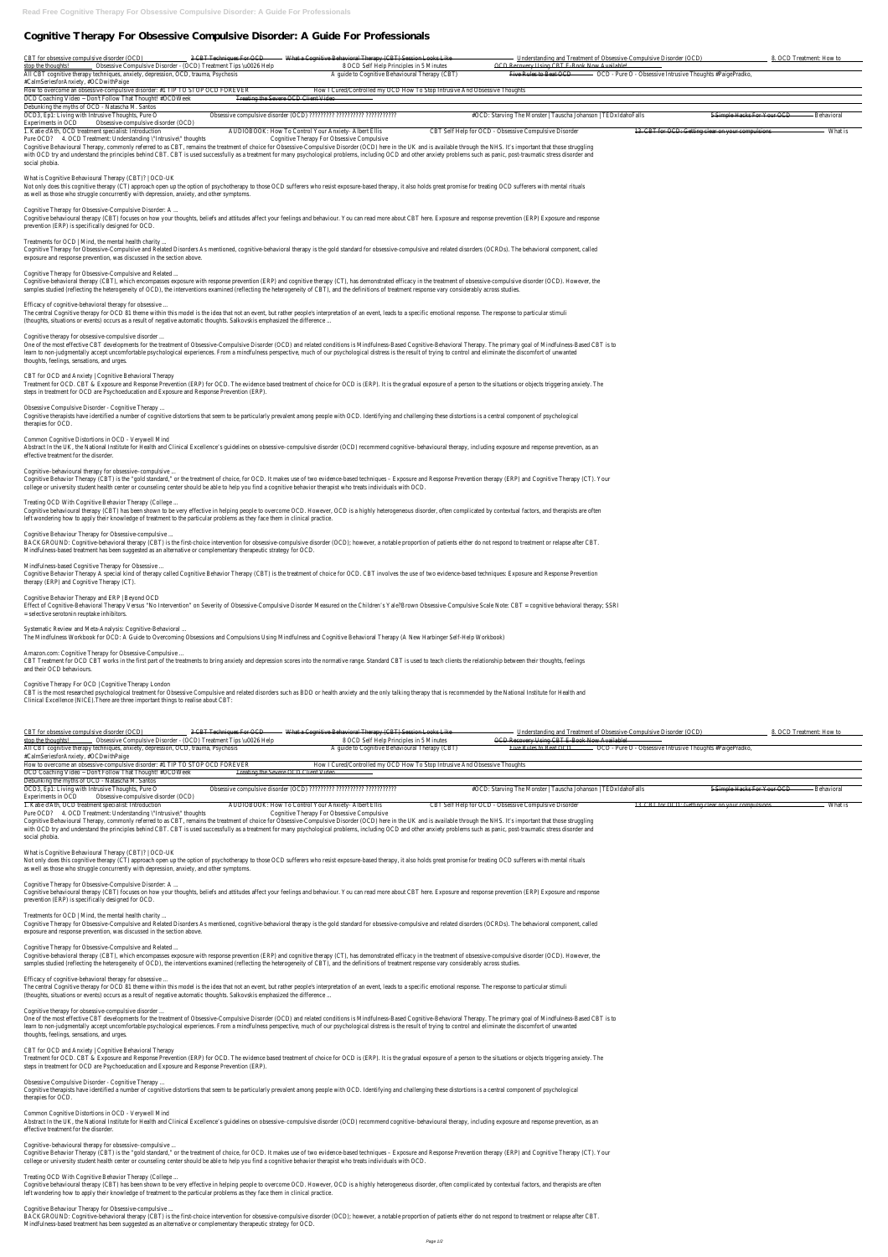# **Cognitive Therapy For Obsessive Compulsive Disorder: A Guide For Professionals**

| CBT for obsessive compulsive disorder (OCD)                                                                                                                                                                                                                                              | 3 CBT Techniques For OCD                             | What a Cognitive Behavioral Therapy (CBT) Session Looks Like                                  |                                                                | Understanding and Treatment of Obsessive-Compulsive Disorder (OCD) |                                                    | 8. OCD Treatment: How to |
|------------------------------------------------------------------------------------------------------------------------------------------------------------------------------------------------------------------------------------------------------------------------------------------|------------------------------------------------------|-----------------------------------------------------------------------------------------------|----------------------------------------------------------------|--------------------------------------------------------------------|----------------------------------------------------|--------------------------|
| Obsessive Compulsive Disorder - (OCD) Treatment Tips \u0026 Help<br>stop the thoughts!                                                                                                                                                                                                   |                                                      | 8 OCD Self Help Principles in 5 Minutes                                                       | OCD Recovery Using CBT E Book Now Available!                   |                                                                    |                                                    |                          |
| All CBT cognitive therapy techniques, anxiety, depression, OCD, trauma, Psychosis                                                                                                                                                                                                        |                                                      | A guide to Cognitive Behavioural Therapy (CBT)                                                | Five Rules to Beat OCD                                         | - OCD - Pure O - Obsessive Intrusive Thoughts #PaigePradko,        |                                                    |                          |
| #CalmSeriesforAnxiety, #OCDwithPaige                                                                                                                                                                                                                                                     |                                                      |                                                                                               |                                                                |                                                                    |                                                    |                          |
| How to overcome an obsessive-compulsive disorder: #1 TIP TO STOP OCD FOREVER                                                                                                                                                                                                             |                                                      | How I Cured/Controlled my OCD How To Stop Intrusive And Obsessive Thoughts                    |                                                                |                                                                    |                                                    |                          |
| OCD Coaching Video ~ Don't Follow That Thought! #OCDWeek                                                                                                                                                                                                                                 | Treating the Severe OCD Client Video                 |                                                                                               |                                                                |                                                                    |                                                    |                          |
| Debunking the myths of OCD - Natascha M. Santos                                                                                                                                                                                                                                          |                                                      |                                                                                               |                                                                |                                                                    |                                                    |                          |
| OCD3, Ep1: Living with Intrusive Thoughts, Pure O                                                                                                                                                                                                                                        |                                                      | Obsessive compulsive disorder (OCD) ?????????? ?????????? Obsessive compulsive disorder (OCD) | #OCD: Starving The Monster   Tauscha Johanson   TEDxIdahoFalls |                                                                    | 5 Simple Hacks For Your OCD                        | Behavioral               |
| Obsessive-compulsive disorder (OCD)<br>Experiments in OCD                                                                                                                                                                                                                                |                                                      |                                                                                               |                                                                |                                                                    |                                                    |                          |
| 1. Katie d'Ath, OCD treatment specialist: Introduction                                                                                                                                                                                                                                   | AUDIOBOOK: How To Control Your Anxiety- Albert Ellis |                                                                                               | CBT Self Help for OCD - Obsessive Compulsive Disorder          |                                                                    | 13. CBT for OCD: Getting clear on your compulsions | What is                  |
| Pure OCD? 4. OCD Treatment: Understanding \"Intrusive\" thoughts                                                                                                                                                                                                                         |                                                      | Cognitive Therapy For Obsessive Compulsive                                                    |                                                                |                                                                    |                                                    |                          |
| Cognitive Behavioural Therapy, commonly referred to as CBT, remains the treatment of choice for Obsessive-Compulsive Disorder (OCD) here in the UK and is available through the NHS. It's important that those struggling                                                                |                                                      |                                                                                               |                                                                |                                                                    |                                                    |                          |
| with OCD try and understand the principles behind CBT. CBT is used successfully as a treatment for many psychological problems, including OCD and other anxiety problems such as panic, post-traumatic stress disorder and                                                               |                                                      |                                                                                               |                                                                |                                                                    |                                                    |                          |
| social phobia.                                                                                                                                                                                                                                                                           |                                                      |                                                                                               |                                                                |                                                                    |                                                    |                          |
|                                                                                                                                                                                                                                                                                          |                                                      |                                                                                               |                                                                |                                                                    |                                                    |                          |
| What is Cognitive Behavioural Therapy (CBT)?   OCD-UK                                                                                                                                                                                                                                    |                                                      |                                                                                               |                                                                |                                                                    |                                                    |                          |
| Not only does this cognitive therapy (CT) approach open up the option of psychotherapy to those OCD sufferers who resist exposure-based therapy, it also holds great promise for treating OCD sufferers with mental rituals                                                              |                                                      |                                                                                               |                                                                |                                                                    |                                                    |                          |
| as well as those who struggle concurrently with depression, anxiety, and other symptoms.                                                                                                                                                                                                 |                                                      |                                                                                               |                                                                |                                                                    |                                                    |                          |
|                                                                                                                                                                                                                                                                                          |                                                      |                                                                                               |                                                                |                                                                    |                                                    |                          |
| Cognitive Therapy for Obsessive-Compulsive Disorder: A<br>Cognitive behavioural therapy (CBT) focuses on how your thoughts, beliefs and attitudes affect your feelings and behaviour. You can read more about CBT here. Exposure and response prevention (ERP) Exposure and response and |                                                      |                                                                                               |                                                                |                                                                    |                                                    |                          |
| prevention (ERP) is specifically designed for OCD.                                                                                                                                                                                                                                       |                                                      |                                                                                               |                                                                |                                                                    |                                                    |                          |
|                                                                                                                                                                                                                                                                                          |                                                      |                                                                                               |                                                                |                                                                    |                                                    |                          |
| Treatments for OCD   Mind, the mental health charity                                                                                                                                                                                                                                     |                                                      |                                                                                               |                                                                |                                                                    |                                                    |                          |
| Cognitive Therapy for Obsessive-Compulsive and Related Disorders As mentioned, cognitive-behavioral therapy is the gold standard for obsessive-compulsive and related disorders (OCRDs). The behavioral component, called                                                                |                                                      |                                                                                               |                                                                |                                                                    |                                                    |                          |
| exposure and response prevention, was discussed in the section above.                                                                                                                                                                                                                    |                                                      |                                                                                               |                                                                |                                                                    |                                                    |                          |
|                                                                                                                                                                                                                                                                                          |                                                      |                                                                                               |                                                                |                                                                    |                                                    |                          |
| Cognitive Therapy for Obsessive-Compulsive and Related                                                                                                                                                                                                                                   |                                                      |                                                                                               |                                                                |                                                                    |                                                    |                          |
| Cognitive-behavioral therapy (CBT), which encompasses exposure with response prevention (ERP) and cognitive therapy (CT), has demonstrated efficacy in the treatment of obsessive-compulsive disorder (OCD). However, the                                                                |                                                      |                                                                                               |                                                                |                                                                    |                                                    |                          |
| samples studied (reflecting the heterogeneity of OCD), the interventions examined (reflecting the heterogeneity of CBT), and the definitions of treatment response vary considerably across studies.                                                                                     |                                                      |                                                                                               |                                                                |                                                                    |                                                    |                          |
|                                                                                                                                                                                                                                                                                          |                                                      |                                                                                               |                                                                |                                                                    |                                                    |                          |
| Efficacy of cognitive-behavioral therapy for obsessive                                                                                                                                                                                                                                   |                                                      |                                                                                               |                                                                |                                                                    |                                                    |                          |
| The central Cognitive therapy for OCD 81 theme within this model is the idea that not an event, but rather people's interpretation of an event, leads to a specific emotional response. The response to particular stimuli                                                               |                                                      |                                                                                               |                                                                |                                                                    |                                                    |                          |
| (thoughts, situations or events) occurs as a result of negative automatic thoughts. Salkovskis emphasized the difference                                                                                                                                                                 |                                                      |                                                                                               |                                                                |                                                                    |                                                    |                          |
|                                                                                                                                                                                                                                                                                          |                                                      |                                                                                               |                                                                |                                                                    |                                                    |                          |
| Cognitive therapy for obsessive-compulsive disorder                                                                                                                                                                                                                                      |                                                      |                                                                                               |                                                                |                                                                    |                                                    |                          |
| One of the most effective CBT developments for the treatment of Obsessive-Compulsive Disorder (OCD) and related conditions is Mindfulness-Based Cognitive-Behavioral Therapy. The primary goal of Mindfulness-Based CBT is to                                                            |                                                      |                                                                                               |                                                                |                                                                    |                                                    |                          |
| learn to non-judgmentally accept uncomfortable psychological experiences. From a mindfulness perspective, much of our psychological distress is the result of trying to control and eliminate the discomfort of unwanted                                                                 |                                                      |                                                                                               |                                                                |                                                                    |                                                    |                          |
| thoughts, feelings, sensations, and urges.                                                                                                                                                                                                                                               |                                                      |                                                                                               |                                                                |                                                                    |                                                    |                          |
|                                                                                                                                                                                                                                                                                          |                                                      |                                                                                               |                                                                |                                                                    |                                                    |                          |
| CBT for OCD and Anxiety   Cognitive Behavioral Therapy                                                                                                                                                                                                                                   |                                                      |                                                                                               |                                                                |                                                                    |                                                    |                          |
| Treatment for OCD. CBT & Exposure and Response Prevention (ERP) for OCD. The evidence based treatment of choice for OCD is (ERP). It is the gradual exposure of a person to the situations or objects triggering anxiety. The                                                            |                                                      |                                                                                               |                                                                |                                                                    |                                                    |                          |
| steps in treatment for OCD are Psychoeducation and Exposure and Response Prevention (ERP).                                                                                                                                                                                               |                                                      |                                                                                               |                                                                |                                                                    |                                                    |                          |
|                                                                                                                                                                                                                                                                                          |                                                      |                                                                                               |                                                                |                                                                    |                                                    |                          |
| Obsessive Compulsive Disorder - Cognitive Therapy                                                                                                                                                                                                                                        |                                                      |                                                                                               |                                                                |                                                                    |                                                    |                          |
| Cognitive therapists have identified a number of cognitive distortions that seem to be particularly prevalent among people with OCD. Identifying and challenging these distortions is a central component of psychological                                                               |                                                      |                                                                                               |                                                                |                                                                    |                                                    |                          |
| therapies for OCD.                                                                                                                                                                                                                                                                       |                                                      |                                                                                               |                                                                |                                                                    |                                                    |                          |
|                                                                                                                                                                                                                                                                                          |                                                      |                                                                                               |                                                                |                                                                    |                                                    |                          |
| Common Cognitive Distortions in OCD - Verywell Mind                                                                                                                                                                                                                                      |                                                      |                                                                                               |                                                                |                                                                    |                                                    |                          |

Abstract In the UK, the National Institute for Health and Clinical Excellence's guidelines on obsessive-compulsive disorder (OCD) recommend cognitive-behavioural therapy, including exposure and response prevention, as an effective treatment for the disorder.

Cognitive behavioural therapy (CBT) has been shown to be very effective in helping people to overcome OCD. However, OCD is a highly heterogeneous disorder, often complicated by contextual factors, and therapists are often left wondering how to apply their knowledge of treatment to the particular problems as they face them in clinical practice.

Effect of Cognitive-Behavioral Therapy Versus "No Intervention" on Severity of Obsessive-Compulsive Disorder Measured on the Children's Yale?Brown Obsessive-Compulsive Scale Note: CBT = cognitive behavioral therapy; SSRI = selective serotonin reuptake inhibitors.

CBT is the most researched psychological treatment for Obsessive Compulsive and related disorders such as BDD or health anxiety and the only talking therapy that is recommended by the National Institute for Health and Clinical Excellence (NICE).There are three important things to realise about CBT:

Cognitive–behavioural therapy for obsessive–compulsive ... Cognitive Behavior Therapy (CBT) is the "gold standard," or the treatment of choice, for OCD. It makes use of two evidence-based techniques – Exposure and Response Prevention therapy (ERP) and Cognitive Therapy (CT). Your college or university student health center or counseling center should be able to help you find a cognitive behavior therapist who treats individuals with OCD.

### Treating OCD With Cognitive Behavior Therapy (College ...

One of the most effective CBT developments for the treatment of Obsessive-Compulsive Disorder (OCD) and related conditions is Mindfulness-Based Cognitive-Behavioral Therapy. The primary goal of Mindfulness-Based CBT is to learn to non-judgmentally accept uncomfortable psychological experiences. From a mindfulness perspective, much of our psychological distress is the result of trying to control and eliminate the discomfort of unwanted thoughts, feelings, sensations, and urges.

# Cognitive Behaviour Therapy for Obsessive-compulsive ...

BACKGROUND: Cognitive-behavioral therapy (CBT) is the first-choice intervention for obsessive-compulsive disorder (OCD); however, a notable proportion of patients either do not respond to treatment or relapse after CBT. Mindfulness-based treatment has been suggested as an alternative or complementary therapeutic strategy for OCD.

# Mindfulness-based Cognitive Therapy for Obsessive ...

Abstract In the UK, the National Institute for Health and Clinical Excellence's quidelines on obsessive–compulsive disorder (OCD) recommend cognitive–behavioural therapy, including exposure and response prevention, as an effective treatment for the disorder.

Cognitive Behavior Therapy A special kind of therapy called Cognitive Behavior Therapy (CBT) is the treatment of choice for OCD. CBT involves the use of two evidence-based techniques: Exposure and Response Prevention therapy (ERP) and Cognitive Therapy (CT).

# Cognitive Behavior Therapy and ERP | Beyond OCD

# Systematic Review and Meta-Analysis: Cognitive-Behavioral ...

The Mindfulness Workbook for OCD: A Guide to Overcoming Obsessions and Compulsions Using Mindfulness and Cognitive Behavioral Therapy (A New Harbinger Self-Help Workbook)

# Amazon.com: Cognitive Therapy for Obsessive-Compulsive ...

CBT Treatment for OCD CBT works in the first part of the treatments to bring anxiety and depression scores into the normative range. Standard CBT is used to teach clients the relationship between their thoughts, feelings and their OCD behaviours.

# Cognitive Therapy For OCD | Cognitive Therapy London

|                                      | CBT for obsessive compulsive disorder (OCD)                                              | 3 CBT Techniques For OCD                                         | What a Cognitive Behavioral Therapy (CBT) Session Looks Like                                                                                                                                                                   |                                                                | Understanding and Treatment of Obsessive-Compulsive Disorder (OCD) |                                                                                      | 8. OCD Treatment: How to |
|--------------------------------------|------------------------------------------------------------------------------------------|------------------------------------------------------------------|--------------------------------------------------------------------------------------------------------------------------------------------------------------------------------------------------------------------------------|----------------------------------------------------------------|--------------------------------------------------------------------|--------------------------------------------------------------------------------------|--------------------------|
| stop the thoughts!                   |                                                                                          | Obsessive Compulsive Disorder - (OCD) Treatment Tips \u0026 Help | 8 OCD Self Help Principles in 5 Minutes                                                                                                                                                                                        | OCD Recovery Using CBT E-Book Now Available!                   |                                                                    |                                                                                      |                          |
|                                      | All CBT cognitive therapy techniques, anxiety, depression, OCD, trauma, Psychosis        |                                                                  | A guide to Cognitive Behavioural Therapy (CBT)                                                                                                                                                                                 |                                                                |                                                                    | Five Rules to Beat OCD - - OCD - Pure O - Obsessive Intrusive Thoughts #PaigePradko, |                          |
| #CalmSeriesforAnxiety, #OCDwithPaige |                                                                                          |                                                                  |                                                                                                                                                                                                                                |                                                                |                                                                    |                                                                                      |                          |
|                                      | How to overcome an obsessive-compulsive disorder: #1 TIP TO STOP OCD FOREVER             |                                                                  | How I Cured/Controlled my OCD How To Stop Intrusive And Obsessive Thoughts                                                                                                                                                     |                                                                |                                                                    |                                                                                      |                          |
|                                      | OCD Coaching Video ~ Don't Follow That Thought! #OCDWeek                                 |                                                                  | Treating the Severe OCD Client Video                                                                                                                                                                                           |                                                                |                                                                    |                                                                                      |                          |
|                                      | Debunking the myths of OCD - Natascha M. Santos                                          |                                                                  |                                                                                                                                                                                                                                |                                                                |                                                                    |                                                                                      |                          |
|                                      | OCD3, Ep1: Living with Intrusive Thoughts, Pure O                                        |                                                                  |                                                                                                                                                                                                                                | #OCD: Starving The Monster   Tauscha Johanson   TEDxIdahoFalls |                                                                    | 5 Simple Hacks For Your OCD                                                          | Behavioral               |
| Experiments in OCD                   | Obsessive-compulsive disorder (OCD)                                                      |                                                                  |                                                                                                                                                                                                                                |                                                                |                                                                    |                                                                                      |                          |
|                                      | 1. Katie d'Ath, OCD treatment specialist: Introduction                                   |                                                                  | AUDIOBOOK: How To Control Your Anxiety- Albert Ellis                                                                                                                                                                           | CBT Self Help for OCD - Obsessive Compulsive Disorder          |                                                                    | 13. CBT for OCD: Getting clear on your compulsions                                   | What is                  |
|                                      | Pure OCD? 4. OCD Treatment: Understanding \"Intrusive\" thoughts                         |                                                                  | Cognitive Therapy For Obsessive Compulsive                                                                                                                                                                                     |                                                                |                                                                    |                                                                                      |                          |
|                                      |                                                                                          |                                                                  | Cognitive Behavioural Therapy, commonly referred to as CBT, remains the treatment of choice for Obsessive-Compulsive Disorder (OCD) here in the UK and is available through the NHS. It's important that those struggling      |                                                                |                                                                    |                                                                                      |                          |
|                                      |                                                                                          |                                                                  | with OCD try and understand the principles behind CBT. CBT is used successfully as a treatment for many psychological problems, including OCD and other anxiety problems such as panic, post-traumatic stress disorder and     |                                                                |                                                                    |                                                                                      |                          |
| social phobia.                       |                                                                                          |                                                                  |                                                                                                                                                                                                                                |                                                                |                                                                    |                                                                                      |                          |
|                                      |                                                                                          |                                                                  |                                                                                                                                                                                                                                |                                                                |                                                                    |                                                                                      |                          |
|                                      | What is Cognitive Behavioural Therapy (CBT)?   OCD-UK                                    |                                                                  |                                                                                                                                                                                                                                |                                                                |                                                                    |                                                                                      |                          |
|                                      |                                                                                          |                                                                  | Not only does this cognitive therapy (CT) approach open up the option of psychotherapy to those OCD sufferers who resist exposure-based therapy, it also holds great promise for treating OCD sufferers with mental rituals    |                                                                |                                                                    |                                                                                      |                          |
|                                      | as well as those who struggle concurrently with depression, anxiety, and other symptoms. |                                                                  |                                                                                                                                                                                                                                |                                                                |                                                                    |                                                                                      |                          |
|                                      |                                                                                          |                                                                  |                                                                                                                                                                                                                                |                                                                |                                                                    |                                                                                      |                          |
|                                      | Cognitive Therapy for Obsessive-Compulsive Disorder: A                                   |                                                                  |                                                                                                                                                                                                                                |                                                                |                                                                    |                                                                                      |                          |
|                                      |                                                                                          |                                                                  | Cognitive behavioural therapy (CBT) focuses on how your thoughts, beliefs and attitudes affect your feelings and behaviour. You can read more about CBT here. Exposure and response prevention (ERP) Exposure and response and |                                                                |                                                                    |                                                                                      |                          |
|                                      | prevention (ERP) is specifically designed for OCD.                                       |                                                                  |                                                                                                                                                                                                                                |                                                                |                                                                    |                                                                                      |                          |
|                                      |                                                                                          |                                                                  |                                                                                                                                                                                                                                |                                                                |                                                                    |                                                                                      |                          |
|                                      | Treatments for OCD   Mind, the mental health charity                                     |                                                                  |                                                                                                                                                                                                                                |                                                                |                                                                    |                                                                                      |                          |
|                                      |                                                                                          |                                                                  | Cognitive Therapy for Obsessive-Compulsive and Related Disorders As mentioned, cognitive-behavioral therapy is the gold standard for obsessive-compulsive and related disorders (OCRDs). The behavioral component, called      |                                                                |                                                                    |                                                                                      |                          |

exposure and response prevention, was discussed in the section above.

#### Cognitive Therapy for Obsessive-Compulsive and Related ...

Cognitive-behavioral therapy (CBT), which encompasses exposure with response prevention (ERP) and cognitive therapy (CT), has demonstrated efficacy in the treatment of obsessive-compulsive disorder (OCD). However, the samples studied (reflecting the heterogeneity of OCD), the interventions examined (reflecting the heterogeneity of CBT), and the definitions of treatment response vary considerably across studies.

#### Efficacy of cognitive-behavioral therapy for obsessive ...

The central Cognitive therapy for OCD 81 theme within this model is the idea that not an event, but rather people's interpretation of an event, leads to a specific emotional response. The response to particular stimuli (thoughts, situations or events) occurs as a result of negative automatic thoughts. Salkovskis emphasized the difference ...

#### Cognitive therapy for obsessive-compulsive disorder ...

#### CBT for OCD and Anxiety | Cognitive Behavioral Therapy

Treatment for OCD. CBT & Exposure and Response Prevention (ERP) for OCD. The evidence based treatment of choice for OCD is (ERP). It is the gradual exposure of a person to the situations or objects triggering anxiety. The steps in treatment for OCD are Psychoeducation and Exposure and Response Prevention (ERP).

#### Obsessive Compulsive Disorder - Cognitive Therapy ...

Cognitive therapists have identified a number of cognitive distortions that seem to be particularly prevalent among people with OCD. Identifying and challenging these distortions is a central component of psychological therapies for OCD.

#### Common Cognitive Distortions in OCD - Verywell Mind

#### Cognitive–behavioural therapy for obsessive–compulsive ...

Cognitive Behavior Therapy (CBT) is the "gold standard," or the treatment of choice, for OCD. It makes use of two evidence-based techniques – Exposure and Response Prevention therapy (ERP) and Cognitive Therapy (CT). Your college or university student health center or counseling center should be able to help you find a cognitive behavior therapist who treats individuals with OCD.

#### Treating OCD With Cognitive Behavior Therapy (College ...

Cognitive behavioural therapy (CBT) has been shown to be very effective in helping people to overcome OCD. However, OCD is a highly heterogeneous disorder, often complicated by contextual factors, and therapists are often left wondering how to apply their knowledge of treatment to the particular problems as they face them in clinical practice.

#### Cognitive Behaviour Therapy for Obsessive-compulsive ...

BACKGROUND: Cognitive-behavioral therapy (CBT) is the first-choice intervention for obsessive-compulsive disorder (OCD); however, a notable proportion of patients either do not respond to treatment or relapse after CBT. Mindfulness-based treatment has been suggested as an alternative or complementary therapeutic strategy for OCD.